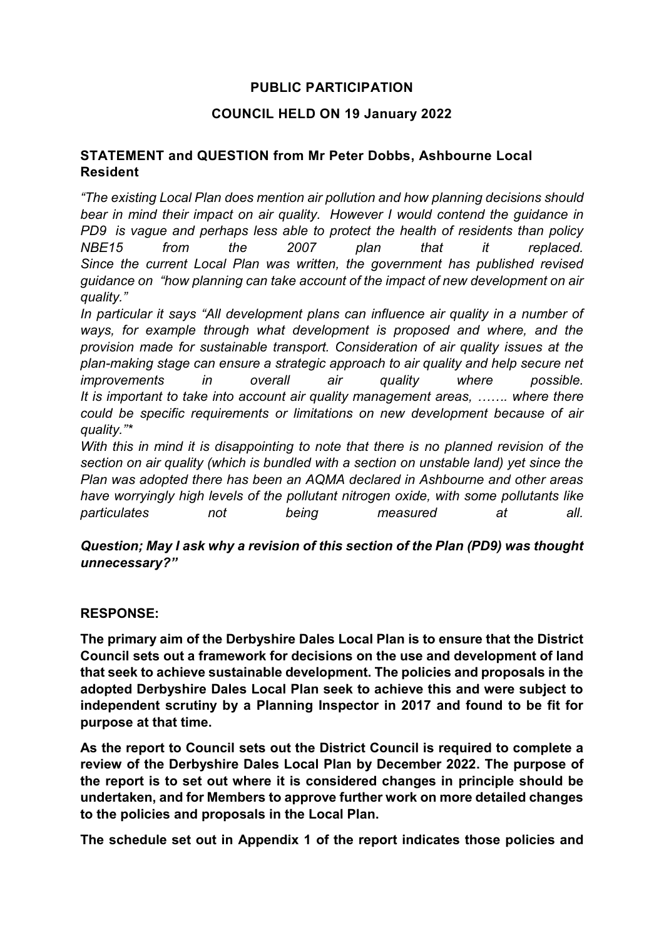## **PUBLIC PARTICIPATION**

## **COUNCIL HELD ON 19 January 2022**

## **STATEMENT and QUESTION from Mr Peter Dobbs, Ashbourne Local Resident**

*"The existing Local Plan does mention air pollution and how planning decisions should bear in mind their impact on air quality. However I would contend the guidance in PD9 is vague and perhaps less able to protect the health of residents than policy NBE15 from the 2007 plan that it replaced. Since the current Local Plan was written, the government has published revised guidance on "how planning can take account of the impact of new development on air quality."*

*In particular it says "All development plans can influence air quality in a number of ways, for example through what development is proposed and where, and the provision made for sustainable transport. Consideration of air quality issues at the plan-making stage can ensure a strategic approach to air quality and help secure net improvements in overall air quality where possible. It is important to take into account air quality management areas, ……. where there could be specific requirements or limitations on new development because of air quality."\**

*With this in mind it is disappointing to note that there is no planned revision of the section on air quality (which is bundled with a section on unstable land) yet since the Plan was adopted there has been an AQMA declared in Ashbourne and other areas have worryingly high levels of the pollutant nitrogen oxide, with some pollutants like particulates not being measured at all.*

*Question; May I ask why a revision of this section of the Plan (PD9) was thought unnecessary?"*

## **RESPONSE:**

**The primary aim of the Derbyshire Dales Local Plan is to ensure that the District Council sets out a framework for decisions on the use and development of land that seek to achieve sustainable development. The policies and proposals in the adopted Derbyshire Dales Local Plan seek to achieve this and were subject to independent scrutiny by a Planning Inspector in 2017 and found to be fit for purpose at that time.**

**As the report to Council sets out the District Council is required to complete a review of the Derbyshire Dales Local Plan by December 2022. The purpose of the report is to set out where it is considered changes in principle should be undertaken, and for Members to approve further work on more detailed changes to the policies and proposals in the Local Plan.**

**The schedule set out in Appendix 1 of the report indicates those policies and**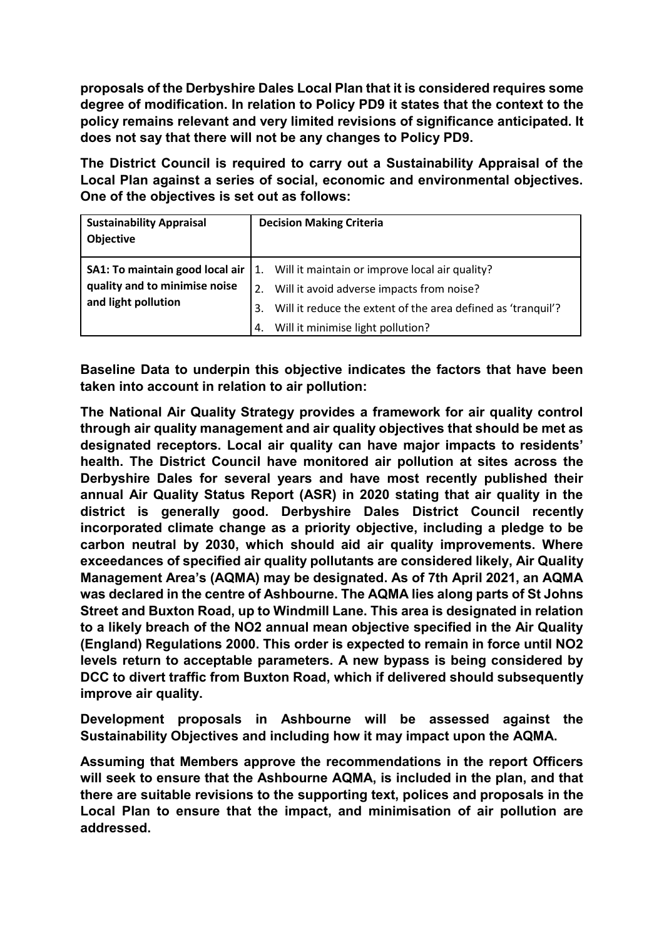**proposals of the Derbyshire Dales Local Plan that it is considered requires some degree of modification. In relation to Policy PD9 it states that the context to the policy remains relevant and very limited revisions of significance anticipated. It does not say that there will not be any changes to Policy PD9.**

**The District Council is required to carry out a Sustainability Appraisal of the Local Plan against a series of social, economic and environmental objectives. One of the objectives is set out as follows:**

| <b>Sustainability Appraisal</b><br>Objective         | <b>Decision Making Criteria</b>                                                                                                                                                                             |
|------------------------------------------------------|-------------------------------------------------------------------------------------------------------------------------------------------------------------------------------------------------------------|
| quality and to minimise noise<br>and light pollution | <b>SA1: To maintain good local air</b> 1. Will it maintain or improve local air quality?<br>Will it avoid adverse impacts from noise?<br>Will it reduce the extent of the area defined as 'tranquil'?<br>3. |
|                                                      | Will it minimise light pollution?<br>4.                                                                                                                                                                     |

**Baseline Data to underpin this objective indicates the factors that have been taken into account in relation to air pollution:**

**The National Air Quality Strategy provides a framework for air quality control through air quality management and air quality objectives that should be met as designated receptors. Local air quality can have major impacts to residents' health. The District Council have monitored air pollution at sites across the Derbyshire Dales for several years and have most recently published their annual Air Quality Status Report (ASR) in 2020 stating that air quality in the district is generally good. Derbyshire Dales District Council recently incorporated climate change as a priority objective, including a pledge to be carbon neutral by 2030, which should aid air quality improvements. Where exceedances of specified air quality pollutants are considered likely, Air Quality Management Area's (AQMA) may be designated. As of 7th April 2021, an AQMA was declared in the centre of Ashbourne. The AQMA lies along parts of St Johns Street and Buxton Road, up to Windmill Lane. This area is designated in relation to a likely breach of the NO2 annual mean objective specified in the Air Quality (England) Regulations 2000. This order is expected to remain in force until NO2 levels return to acceptable parameters. A new bypass is being considered by DCC to divert traffic from Buxton Road, which if delivered should subsequently improve air quality.**

**Development proposals in Ashbourne will be assessed against the Sustainability Objectives and including how it may impact upon the AQMA.** 

**Assuming that Members approve the recommendations in the report Officers will seek to ensure that the Ashbourne AQMA, is included in the plan, and that there are suitable revisions to the supporting text, polices and proposals in the Local Plan to ensure that the impact, and minimisation of air pollution are addressed.**